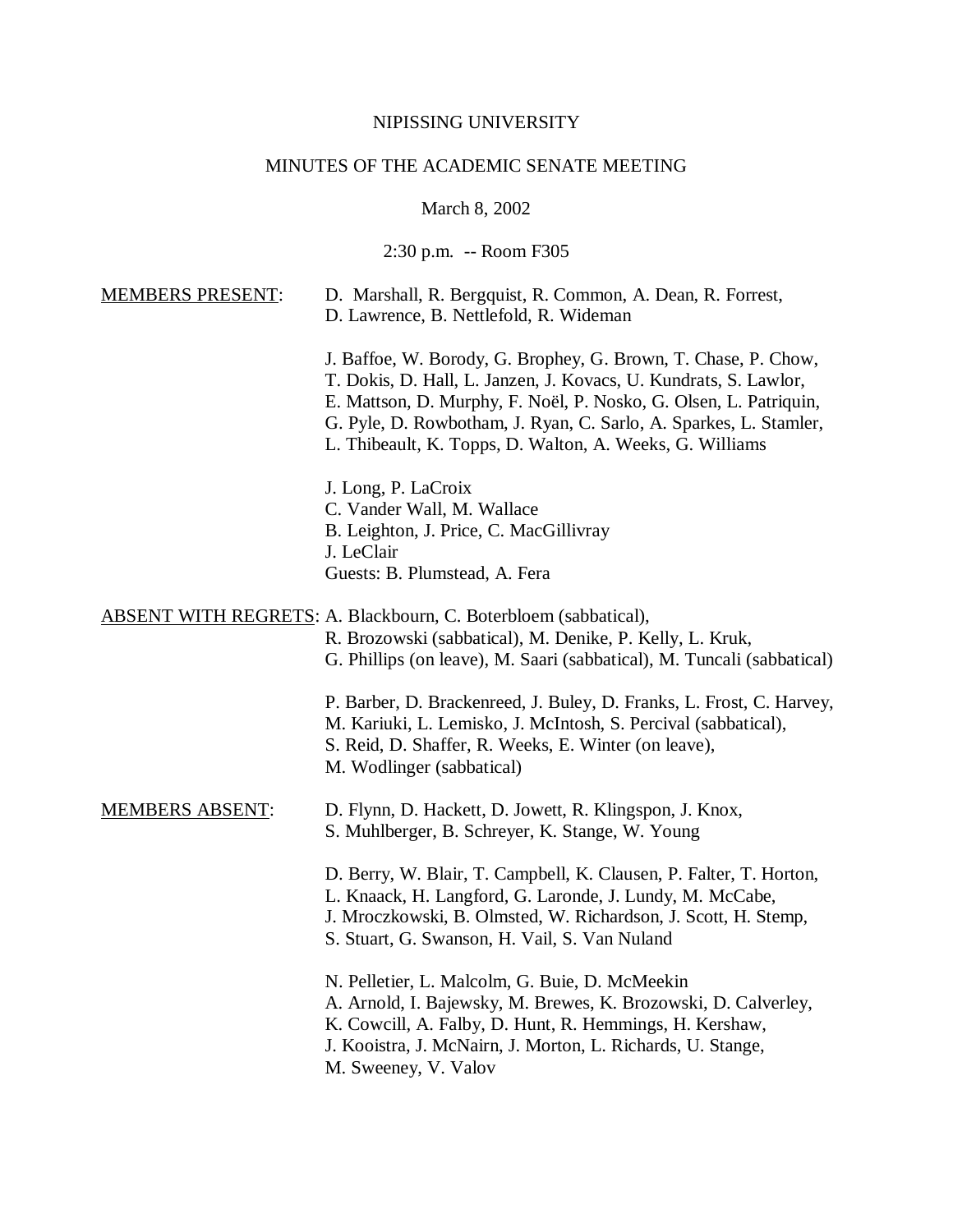### NIPISSING UNIVERSITY

# MINUTES OF THE ACADEMIC SENATE MEETING

# March 8, 2002

2:30 p.m. -- Room F305

| <b>MEMBERS PRESENT:</b> | D. Marshall, R. Bergquist, R. Common, A. Dean, R. Forrest,<br>D. Lawrence, B. Nettlefold, R. Wideman                                                                                                                                                                                                                                     |
|-------------------------|------------------------------------------------------------------------------------------------------------------------------------------------------------------------------------------------------------------------------------------------------------------------------------------------------------------------------------------|
|                         | J. Baffoe, W. Borody, G. Brophey, G. Brown, T. Chase, P. Chow,<br>T. Dokis, D. Hall, L. Janzen, J. Kovacs, U. Kundrats, S. Lawlor,<br>E. Mattson, D. Murphy, F. Noël, P. Nosko, G. Olsen, L. Patriquin,<br>G. Pyle, D. Rowbotham, J. Ryan, C. Sarlo, A. Sparkes, L. Stamler,<br>L. Thibeault, K. Topps, D. Walton, A. Weeks, G. Williams |
|                         | J. Long, P. LaCroix<br>C. Vander Wall, M. Wallace<br>B. Leighton, J. Price, C. MacGillivray<br>J. LeClair<br>Guests: B. Plumstead, A. Fera                                                                                                                                                                                               |
|                         | ABSENT WITH REGRETS: A. Blackbourn, C. Boterbloem (sabbatical),<br>R. Brozowski (sabbatical), M. Denike, P. Kelly, L. Kruk,<br>G. Phillips (on leave), M. Saari (sabbatical), M. Tuncali (sabbatical)                                                                                                                                    |
|                         | P. Barber, D. Brackenreed, J. Buley, D. Franks, L. Frost, C. Harvey,<br>M. Kariuki, L. Lemisko, J. McIntosh, S. Percival (sabbatical),<br>S. Reid, D. Shaffer, R. Weeks, E. Winter (on leave),<br>M. Wodlinger (sabbatical)                                                                                                              |
| <b>MEMBERS ABSENT:</b>  | D. Flynn, D. Hackett, D. Jowett, R. Klingspon, J. Knox,<br>S. Muhlberger, B. Schreyer, K. Stange, W. Young                                                                                                                                                                                                                               |
|                         | D. Berry, W. Blair, T. Campbell, K. Clausen, P. Falter, T. Horton,<br>L. Knaack, H. Langford, G. Laronde, J. Lundy, M. McCabe,<br>J. Mroczkowski, B. Olmsted, W. Richardson, J. Scott, H. Stemp,<br>S. Stuart, G. Swanson, H. Vail, S. Van Nuland                                                                                        |
|                         | N. Pelletier, L. Malcolm, G. Buie, D. McMeekin<br>A. Arnold, I. Bajewsky, M. Brewes, K. Brozowski, D. Calverley,<br>K. Cowcill, A. Falby, D. Hunt, R. Hemmings, H. Kershaw,<br>J. Kooistra, J. McNairn, J. Morton, L. Richards, U. Stange,<br>M. Sweeney, V. Valov                                                                       |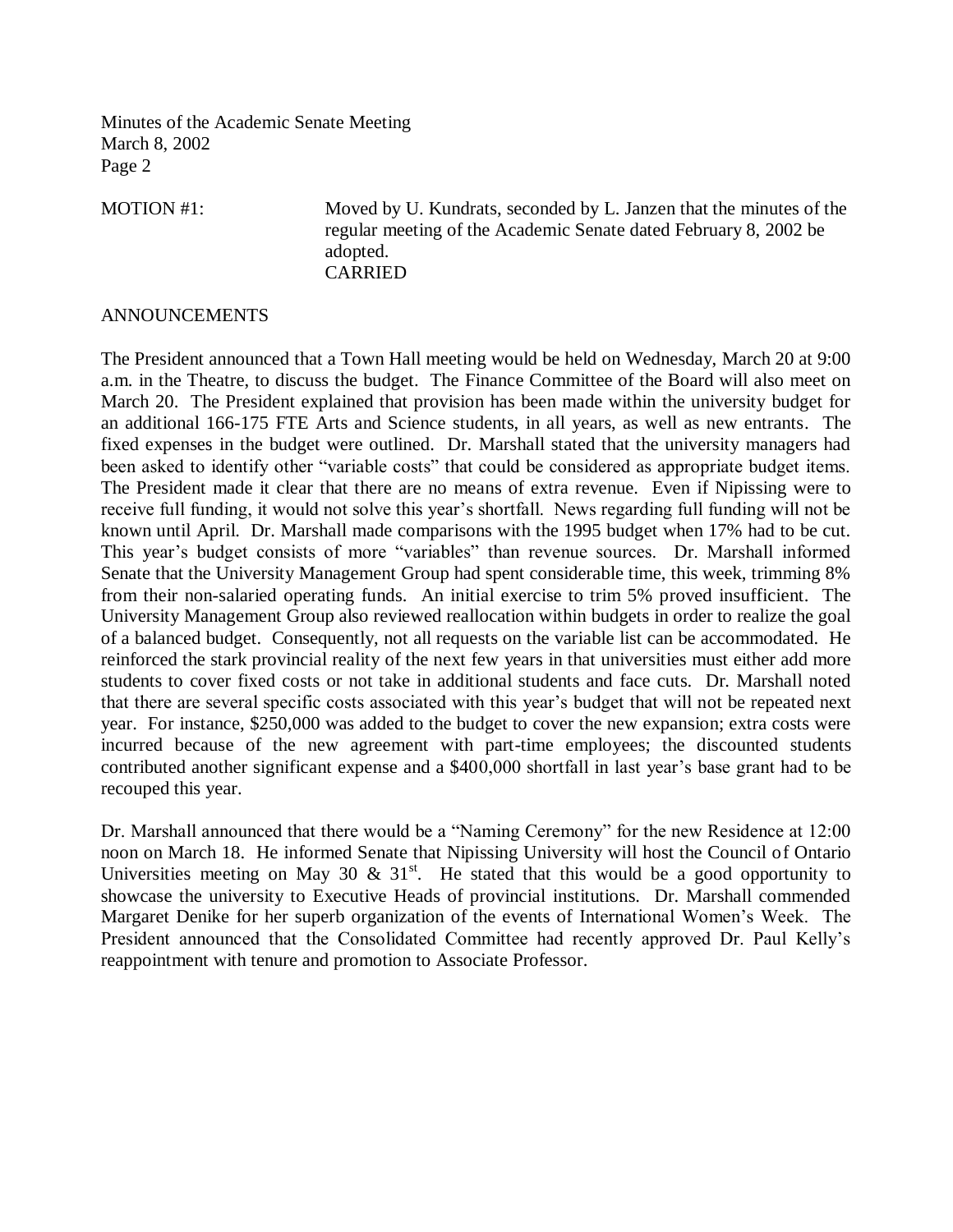MOTION #1: Moved by U. Kundrats, seconded by L. Janzen that the minutes of the regular meeting of the Academic Senate dated February 8, 2002 be adopted. CARRIED

#### ANNOUNCEMENTS

The President announced that a Town Hall meeting would be held on Wednesday, March 20 at 9:00 a.m. in the Theatre, to discuss the budget. The Finance Committee of the Board will also meet on March 20. The President explained that provision has been made within the university budget for an additional 166-175 FTE Arts and Science students, in all years, as well as new entrants. The fixed expenses in the budget were outlined. Dr. Marshall stated that the university managers had been asked to identify other "variable costs" that could be considered as appropriate budget items. The President made it clear that there are no means of extra revenue. Even if Nipissing were to receive full funding, it would not solve this year's shortfall. News regarding full funding will not be known until April. Dr. Marshall made comparisons with the 1995 budget when 17% had to be cut. This year's budget consists of more "variables" than revenue sources. Dr. Marshall informed Senate that the University Management Group had spent considerable time, this week, trimming 8% from their non-salaried operating funds. An initial exercise to trim 5% proved insufficient. The University Management Group also reviewed reallocation within budgets in order to realize the goal of a balanced budget. Consequently, not all requests on the variable list can be accommodated. He reinforced the stark provincial reality of the next few years in that universities must either add more students to cover fixed costs or not take in additional students and face cuts. Dr. Marshall noted that there are several specific costs associated with this year's budget that will not be repeated next year. For instance, \$250,000 was added to the budget to cover the new expansion; extra costs were incurred because of the new agreement with part-time employees; the discounted students contributed another significant expense and a \$400,000 shortfall in last year's base grant had to be recouped this year.

Dr. Marshall announced that there would be a "Naming Ceremony" for the new Residence at 12:00 noon on March 18. He informed Senate that Nipissing University will host the Council of Ontario Universities meeting on May 30 &  $31<sup>st</sup>$ . He stated that this would be a good opportunity to showcase the university to Executive Heads of provincial institutions. Dr. Marshall commended Margaret Denike for her superb organization of the events of International Women's Week. The President announced that the Consolidated Committee had recently approved Dr. Paul Kelly's reappointment with tenure and promotion to Associate Professor.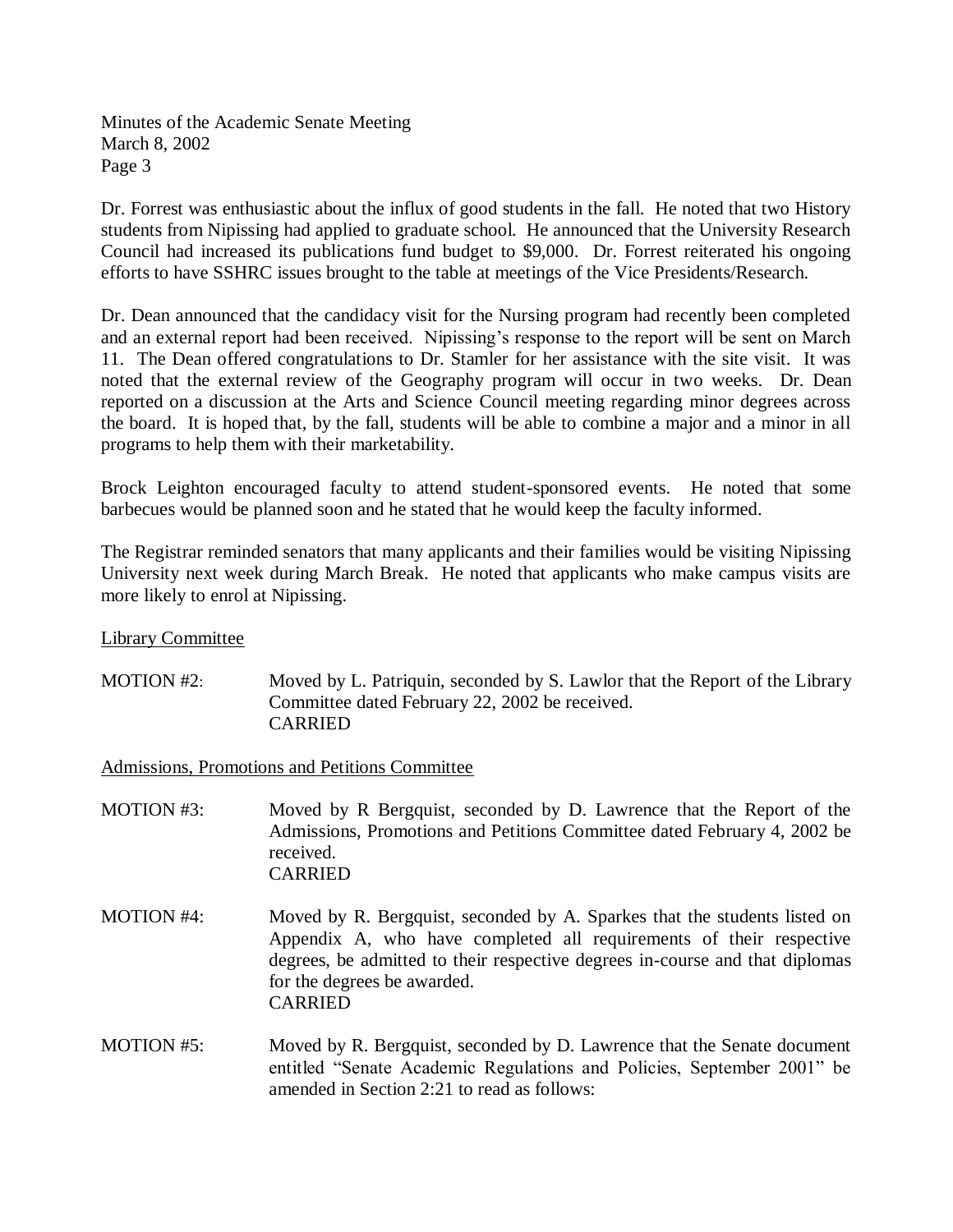Dr. Forrest was enthusiastic about the influx of good students in the fall. He noted that two History students from Nipissing had applied to graduate school. He announced that the University Research Council had increased its publications fund budget to \$9,000. Dr. Forrest reiterated his ongoing efforts to have SSHRC issues brought to the table at meetings of the Vice Presidents/Research.

Dr. Dean announced that the candidacy visit for the Nursing program had recently been completed and an external report had been received. Nipissing's response to the report will be sent on March 11. The Dean offered congratulations to Dr. Stamler for her assistance with the site visit. It was noted that the external review of the Geography program will occur in two weeks. Dr. Dean reported on a discussion at the Arts and Science Council meeting regarding minor degrees across the board. It is hoped that, by the fall, students will be able to combine a major and a minor in all programs to help them with their marketability.

Brock Leighton encouraged faculty to attend student-sponsored events. He noted that some barbecues would be planned soon and he stated that he would keep the faculty informed.

The Registrar reminded senators that many applicants and their families would be visiting Nipissing University next week during March Break. He noted that applicants who make campus visits are more likely to enrol at Nipissing.

Library Committee

MOTION #2: Moved by L. Patriquin, seconded by S. Lawlor that the Report of the Library Committee dated February 22, 2002 be received. CARRIED

Admissions, Promotions and Petitions Committee

- MOTION #3: Moved by R Bergquist, seconded by D. Lawrence that the Report of the Admissions, Promotions and Petitions Committee dated February 4, 2002 be received. CARRIED
- MOTION #4: Moved by R. Bergquist, seconded by A. Sparkes that the students listed on Appendix A, who have completed all requirements of their respective degrees, be admitted to their respective degrees in-course and that diplomas for the degrees be awarded. CARRIED
- MOTION #5: Moved by R. Bergquist, seconded by D. Lawrence that the Senate document entitled "Senate Academic Regulations and Policies, September 2001" be amended in Section 2:21 to read as follows: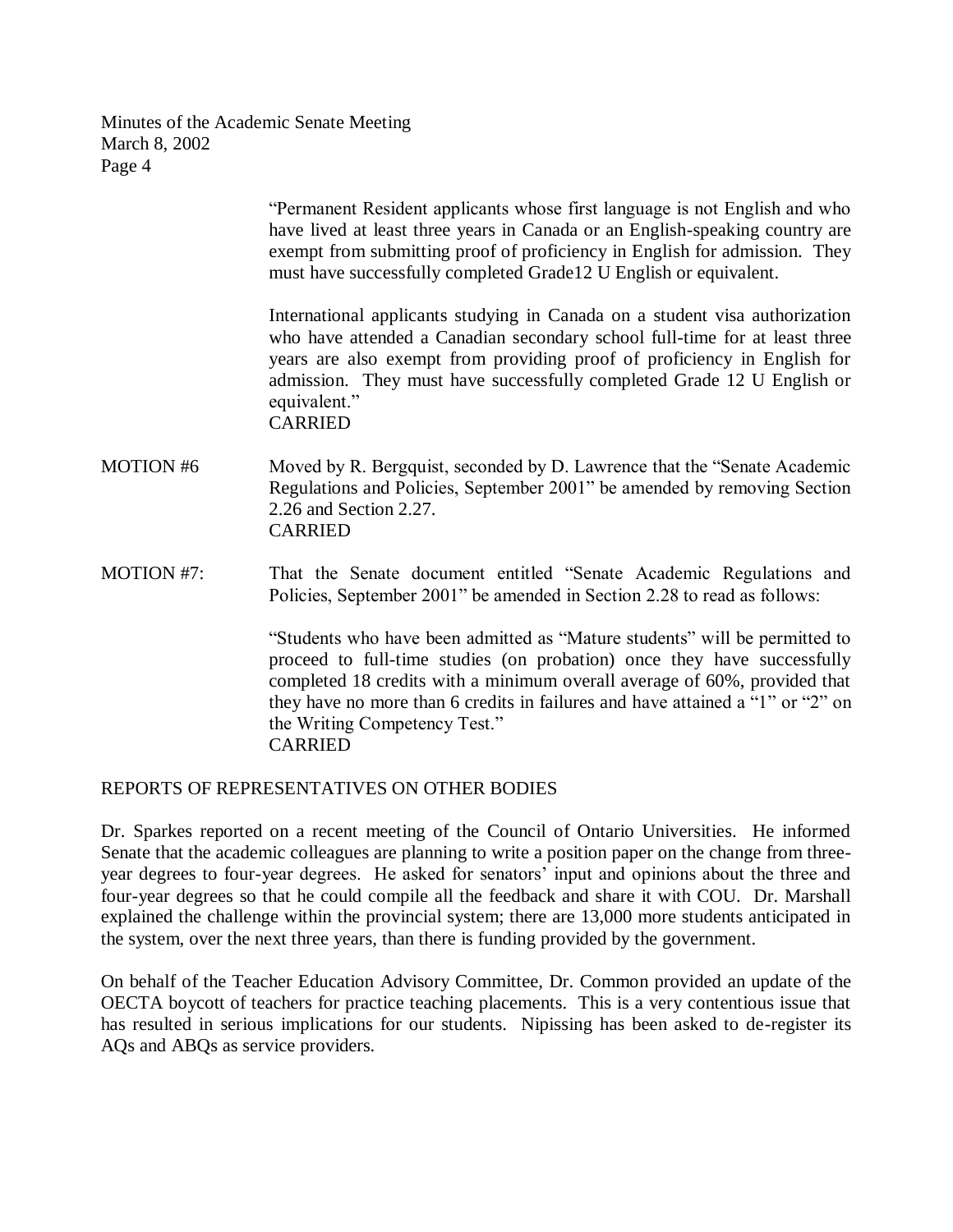> "Permanent Resident applicants whose first language is not English and who have lived at least three years in Canada or an English-speaking country are exempt from submitting proof of proficiency in English for admission. They must have successfully completed Grade12 U English or equivalent.

> International applicants studying in Canada on a student visa authorization who have attended a Canadian secondary school full-time for at least three years are also exempt from providing proof of proficiency in English for admission. They must have successfully completed Grade 12 U English or equivalent." CARRIED

- MOTION #6 Moved by R. Bergquist, seconded by D. Lawrence that the "Senate Academic Regulations and Policies, September 2001" be amended by removing Section 2.26 and Section 2.27. CARRIED
- MOTION #7: That the Senate document entitled "Senate Academic Regulations and Policies, September 2001" be amended in Section 2.28 to read as follows:

"Students who have been admitted as "Mature students" will be permitted to proceed to full-time studies (on probation) once they have successfully completed 18 credits with a minimum overall average of 60%, provided that they have no more than 6 credits in failures and have attained a "1" or "2" on the Writing Competency Test." CARRIED

#### REPORTS OF REPRESENTATIVES ON OTHER BODIES

Dr. Sparkes reported on a recent meeting of the Council of Ontario Universities. He informed Senate that the academic colleagues are planning to write a position paper on the change from threeyear degrees to four-year degrees. He asked for senators' input and opinions about the three and four-year degrees so that he could compile all the feedback and share it with COU. Dr. Marshall explained the challenge within the provincial system; there are 13,000 more students anticipated in the system, over the next three years, than there is funding provided by the government.

On behalf of the Teacher Education Advisory Committee, Dr. Common provided an update of the OECTA boycott of teachers for practice teaching placements. This is a very contentious issue that has resulted in serious implications for our students. Nipissing has been asked to de-register its AQs and ABQs as service providers.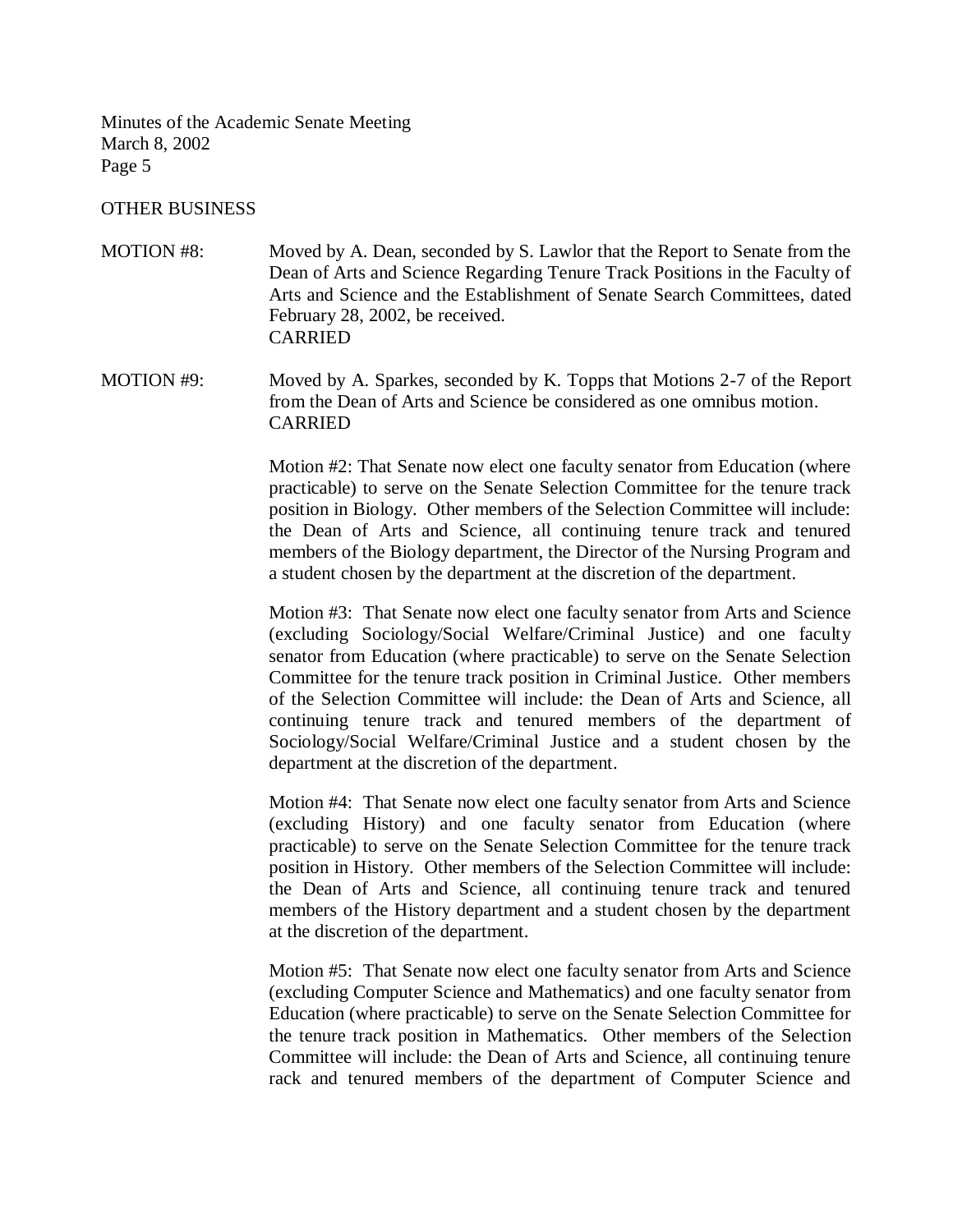#### OTHER BUSINESS

MOTION #8: Moved by A. Dean, seconded by S. Lawlor that the Report to Senate from the Dean of Arts and Science Regarding Tenure Track Positions in the Faculty of Arts and Science and the Establishment of Senate Search Committees, dated February 28, 2002, be received. CARRIED

MOTION #9: Moved by A. Sparkes, seconded by K. Topps that Motions 2-7 of the Report from the Dean of Arts and Science be considered as one omnibus motion. CARRIED

> Motion #2: That Senate now elect one faculty senator from Education (where practicable) to serve on the Senate Selection Committee for the tenure track position in Biology. Other members of the Selection Committee will include: the Dean of Arts and Science, all continuing tenure track and tenured members of the Biology department, the Director of the Nursing Program and a student chosen by the department at the discretion of the department.

> Motion #3: That Senate now elect one faculty senator from Arts and Science (excluding Sociology/Social Welfare/Criminal Justice) and one faculty senator from Education (where practicable) to serve on the Senate Selection Committee for the tenure track position in Criminal Justice. Other members of the Selection Committee will include: the Dean of Arts and Science, all continuing tenure track and tenured members of the department of Sociology/Social Welfare/Criminal Justice and a student chosen by the department at the discretion of the department.

> Motion #4: That Senate now elect one faculty senator from Arts and Science (excluding History) and one faculty senator from Education (where practicable) to serve on the Senate Selection Committee for the tenure track position in History. Other members of the Selection Committee will include: the Dean of Arts and Science, all continuing tenure track and tenured members of the History department and a student chosen by the department at the discretion of the department.

> Motion #5: That Senate now elect one faculty senator from Arts and Science (excluding Computer Science and Mathematics) and one faculty senator from Education (where practicable) to serve on the Senate Selection Committee for the tenure track position in Mathematics. Other members of the Selection Committee will include: the Dean of Arts and Science, all continuing tenure rack and tenured members of the department of Computer Science and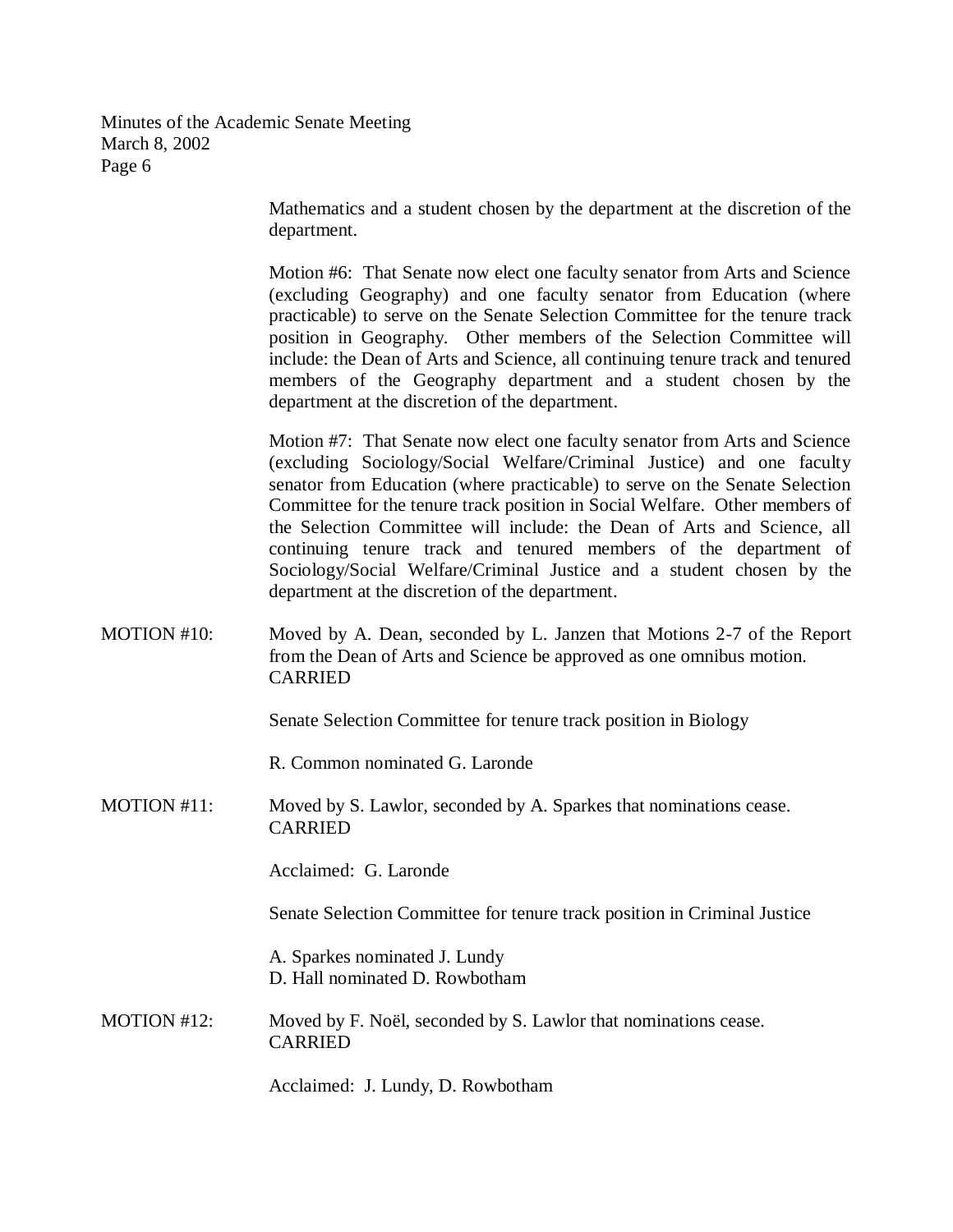> Mathematics and a student chosen by the department at the discretion of the department.

> Motion #6: That Senate now elect one faculty senator from Arts and Science (excluding Geography) and one faculty senator from Education (where practicable) to serve on the Senate Selection Committee for the tenure track position in Geography. Other members of the Selection Committee will include: the Dean of Arts and Science, all continuing tenure track and tenured members of the Geography department and a student chosen by the department at the discretion of the department.

> Motion #7: That Senate now elect one faculty senator from Arts and Science (excluding Sociology/Social Welfare/Criminal Justice) and one faculty senator from Education (where practicable) to serve on the Senate Selection Committee for the tenure track position in Social Welfare. Other members of the Selection Committee will include: the Dean of Arts and Science, all continuing tenure track and tenured members of the department of Sociology/Social Welfare/Criminal Justice and a student chosen by the department at the discretion of the department.

MOTION #10: Moved by A. Dean, seconded by L. Janzen that Motions 2-7 of the Report from the Dean of Arts and Science be approved as one omnibus motion. CARRIED

Senate Selection Committee for tenure track position in Biology

R. Common nominated G. Laronde

MOTION #11: Moved by S. Lawlor, seconded by A. Sparkes that nominations cease. CARRIED

Acclaimed: G. Laronde

Senate Selection Committee for tenure track position in Criminal Justice

A. Sparkes nominated J. Lundy D. Hall nominated D. Rowbotham

MOTION #12: Moved by F. Noël, seconded by S. Lawlor that nominations cease. CARRIED

Acclaimed: J. Lundy, D. Rowbotham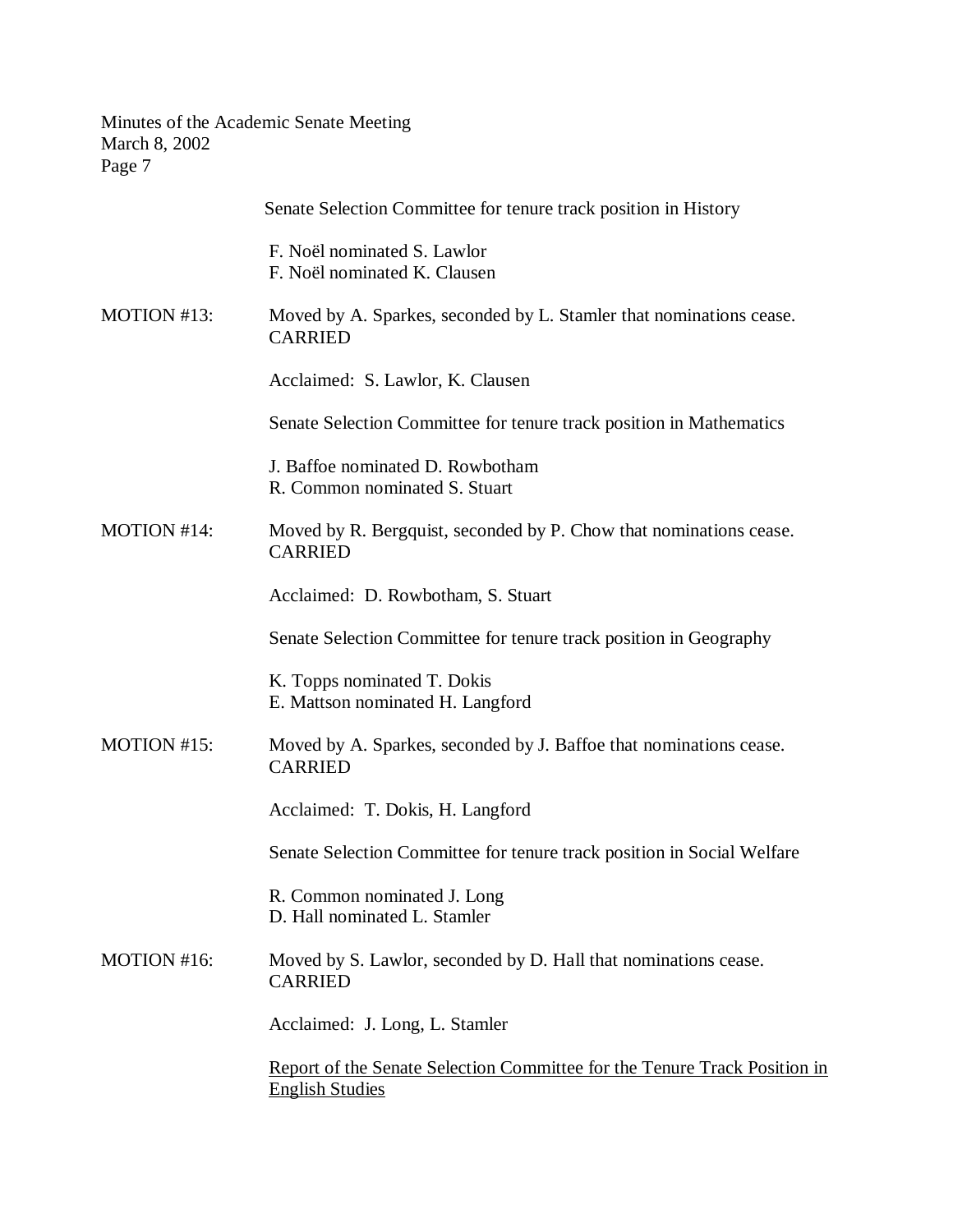|             | Senate Selection Committee for tenure track position in History                                     |
|-------------|-----------------------------------------------------------------------------------------------------|
|             | F. Noël nominated S. Lawlor<br>F. Noël nominated K. Clausen                                         |
| MOTION #13: | Moved by A. Sparkes, seconded by L. Stamler that nominations cease.<br><b>CARRIED</b>               |
|             | Acclaimed: S. Lawlor, K. Clausen                                                                    |
|             | Senate Selection Committee for tenure track position in Mathematics                                 |
| MOTION #14: | J. Baffoe nominated D. Rowbotham<br>R. Common nominated S. Stuart                                   |
|             | Moved by R. Bergquist, seconded by P. Chow that nominations cease.<br><b>CARRIED</b>                |
|             | Acclaimed: D. Rowbotham, S. Stuart                                                                  |
|             | Senate Selection Committee for tenure track position in Geography                                   |
| MOTION #15: | K. Topps nominated T. Dokis<br>E. Mattson nominated H. Langford                                     |
|             | Moved by A. Sparkes, seconded by J. Baffoe that nominations cease.<br><b>CARRIED</b>                |
|             | Acclaimed: T. Dokis, H. Langford                                                                    |
|             | Senate Selection Committee for tenure track position in Social Welfare                              |
|             | R. Common nominated J. Long<br>D. Hall nominated L. Stamler                                         |
| MOTION #16: | Moved by S. Lawlor, seconded by D. Hall that nominations cease.<br><b>CARRIED</b>                   |
|             | Acclaimed: J. Long, L. Stamler                                                                      |
|             | Report of the Senate Selection Committee for the Tenure Track Position in<br><b>English Studies</b> |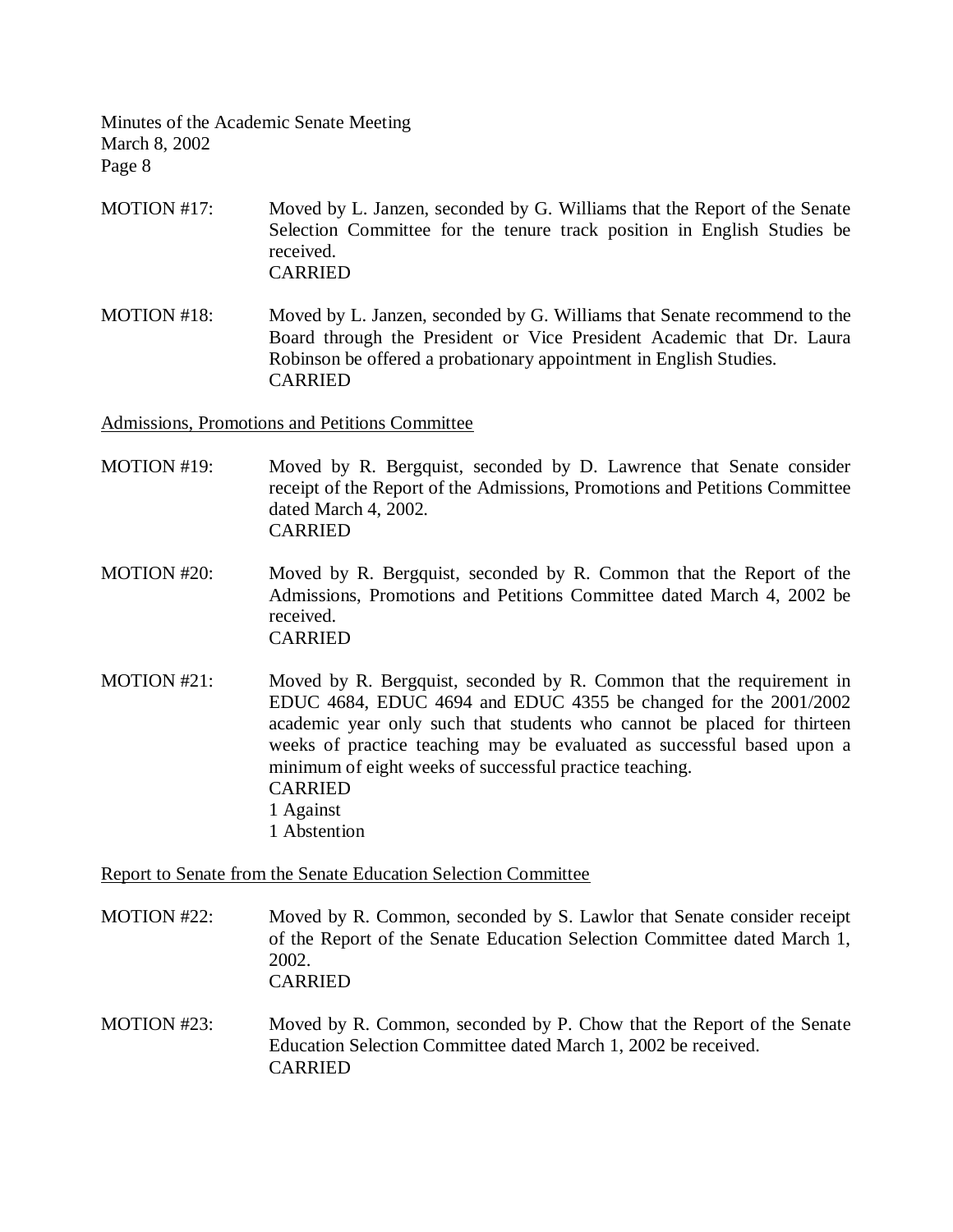- MOTION #17: Moved by L. Janzen, seconded by G. Williams that the Report of the Senate Selection Committee for the tenure track position in English Studies be received. CARRIED
- MOTION #18: Moved by L. Janzen, seconded by G. Williams that Senate recommend to the Board through the President or Vice President Academic that Dr. Laura Robinson be offered a probationary appointment in English Studies. CARRIED

Admissions, Promotions and Petitions Committee

- MOTION #19: Moved by R. Bergquist, seconded by D. Lawrence that Senate consider receipt of the Report of the Admissions, Promotions and Petitions Committee dated March 4, 2002. CARRIED
- MOTION #20: Moved by R. Bergquist, seconded by R. Common that the Report of the Admissions, Promotions and Petitions Committee dated March 4, 2002 be received. CARRIED
- MOTION #21: Moved by R. Bergquist, seconded by R. Common that the requirement in EDUC 4684, EDUC 4694 and EDUC 4355 be changed for the 2001/2002 academic year only such that students who cannot be placed for thirteen weeks of practice teaching may be evaluated as successful based upon a minimum of eight weeks of successful practice teaching. CARRIED 1 Against 1 Abstention

Report to Senate from the Senate Education Selection Committee

- MOTION #22: Moved by R. Common, seconded by S. Lawlor that Senate consider receipt of the Report of the Senate Education Selection Committee dated March 1, 2002. CARRIED
- MOTION #23: Moved by R. Common, seconded by P. Chow that the Report of the Senate Education Selection Committee dated March 1, 2002 be received. CARRIED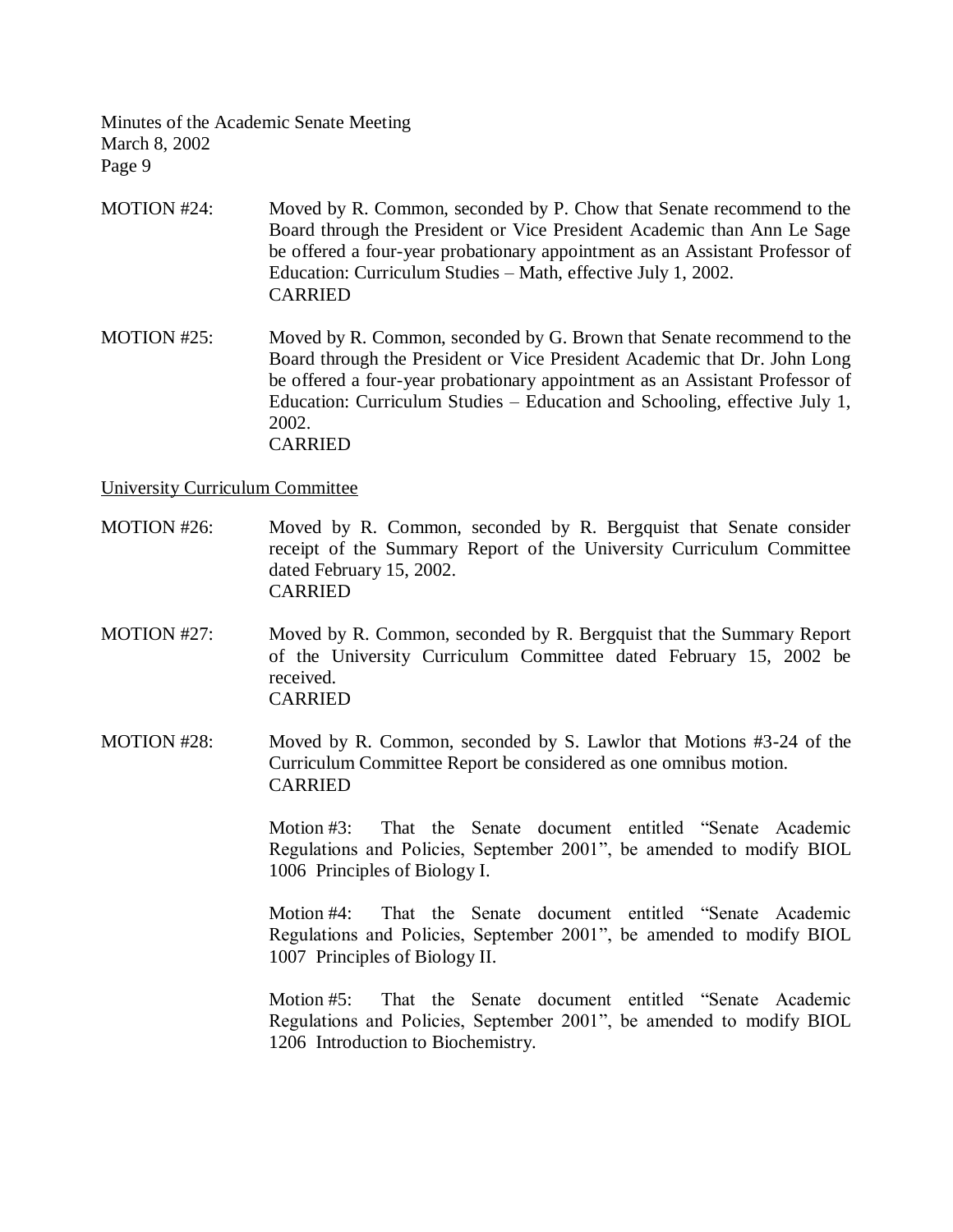- MOTION #24: Moved by R. Common, seconded by P. Chow that Senate recommend to the Board through the President or Vice President Academic than Ann Le Sage be offered a four-year probationary appointment as an Assistant Professor of Education: Curriculum Studies – Math, effective July 1, 2002. CARRIED
- MOTION #25: Moved by R. Common, seconded by G. Brown that Senate recommend to the Board through the President or Vice President Academic that Dr. John Long be offered a four-year probationary appointment as an Assistant Professor of Education: Curriculum Studies – Education and Schooling, effective July 1, 2002. CARRIED

### University Curriculum Committee

- MOTION #26: Moved by R. Common, seconded by R. Bergquist that Senate consider receipt of the Summary Report of the University Curriculum Committee dated February 15, 2002. CARRIED
- MOTION #27: Moved by R. Common, seconded by R. Bergquist that the Summary Report of the University Curriculum Committee dated February 15, 2002 be received. CARRIED
- MOTION #28: Moved by R. Common, seconded by S. Lawlor that Motions #3-24 of the Curriculum Committee Report be considered as one omnibus motion. CARRIED

Motion #3: That the Senate document entitled "Senate Academic Regulations and Policies, September 2001", be amended to modify BIOL 1006 Principles of Biology I.

Motion #4: That the Senate document entitled "Senate Academic Regulations and Policies, September 2001", be amended to modify BIOL 1007 Principles of Biology II.

Motion #5: That the Senate document entitled "Senate Academic Regulations and Policies, September 2001", be amended to modify BIOL 1206 Introduction to Biochemistry.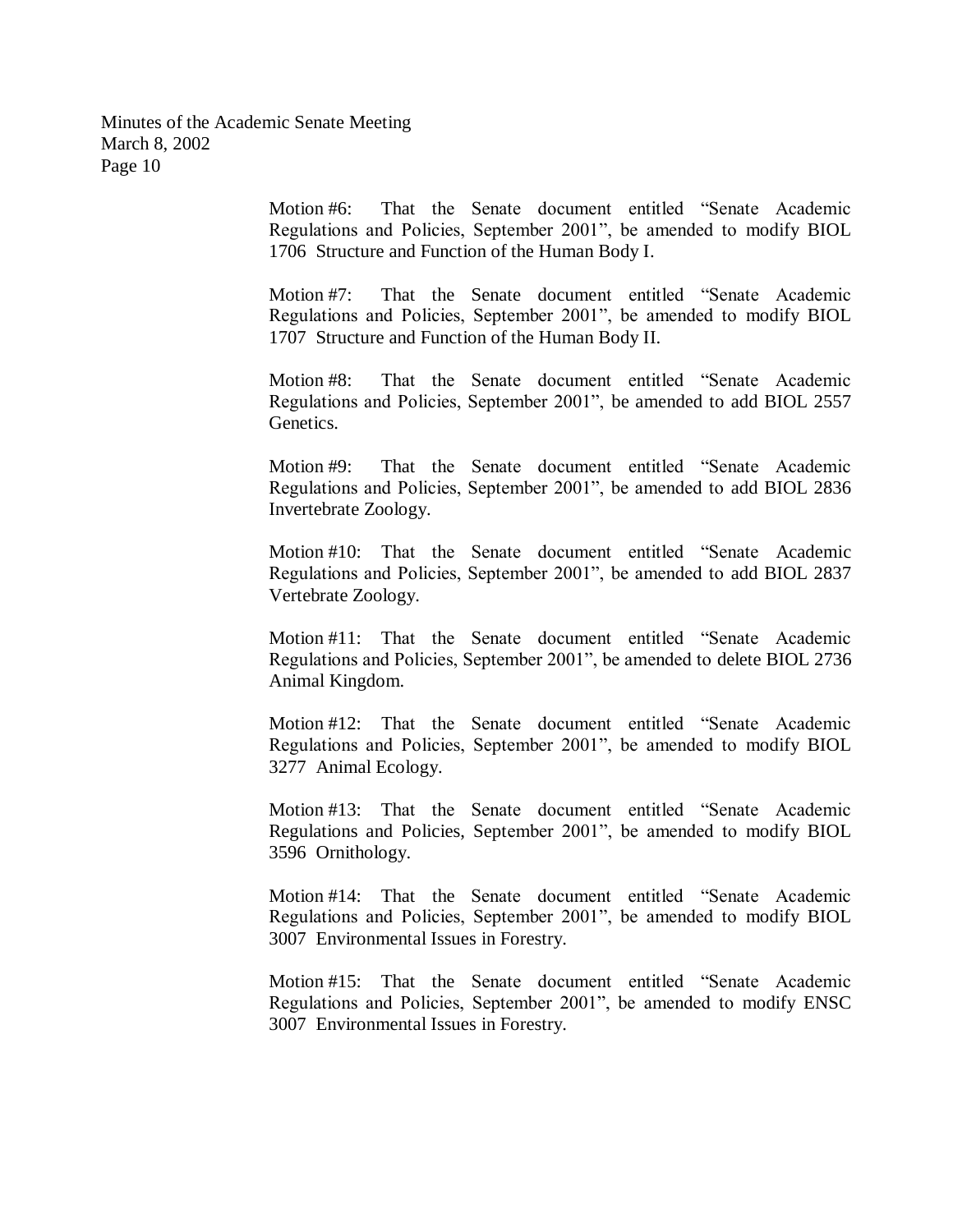> Motion #6: That the Senate document entitled "Senate Academic Regulations and Policies, September 2001", be amended to modify BIOL 1706 Structure and Function of the Human Body I.

> Motion #7: That the Senate document entitled "Senate Academic Regulations and Policies, September 2001", be amended to modify BIOL 1707 Structure and Function of the Human Body II.

> Motion #8: That the Senate document entitled "Senate Academic Regulations and Policies, September 2001", be amended to add BIOL 2557 Genetics.

> Motion #9: That the Senate document entitled "Senate Academic Regulations and Policies, September 2001", be amended to add BIOL 2836 Invertebrate Zoology.

> Motion #10: That the Senate document entitled "Senate Academic Regulations and Policies, September 2001", be amended to add BIOL 2837 Vertebrate Zoology.

> Motion #11: That the Senate document entitled "Senate Academic Regulations and Policies, September 2001", be amended to delete BIOL 2736 Animal Kingdom.

> Motion #12: That the Senate document entitled "Senate Academic Regulations and Policies, September 2001", be amended to modify BIOL 3277 Animal Ecology.

> Motion #13: That the Senate document entitled "Senate Academic Regulations and Policies, September 2001", be amended to modify BIOL 3596 Ornithology.

> Motion #14: That the Senate document entitled "Senate Academic Regulations and Policies, September 2001", be amended to modify BIOL 3007 Environmental Issues in Forestry.

> Motion #15: That the Senate document entitled "Senate Academic Regulations and Policies, September 2001", be amended to modify ENSC 3007 Environmental Issues in Forestry.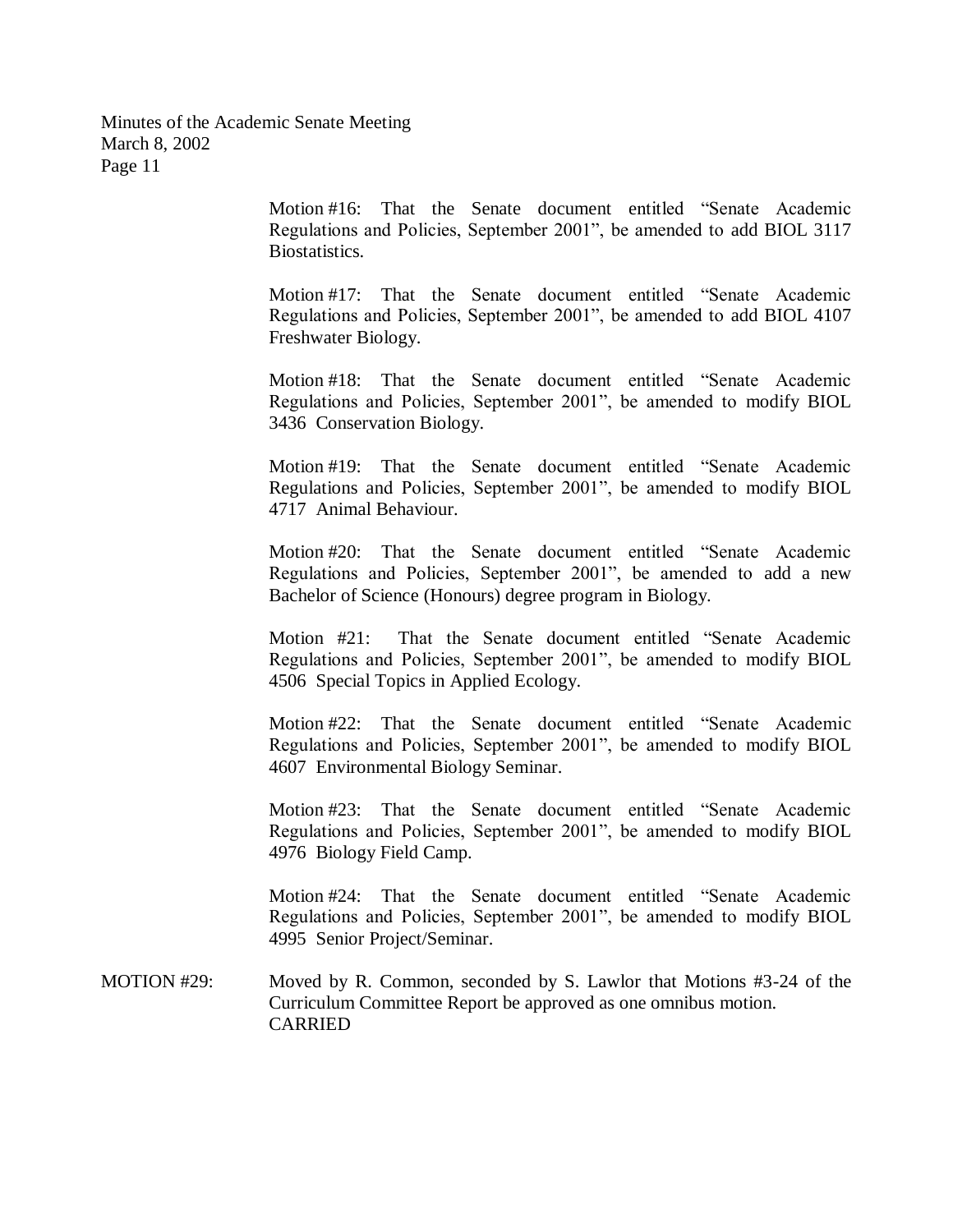> Motion #16: That the Senate document entitled "Senate Academic Regulations and Policies, September 2001", be amended to add BIOL 3117 Biostatistics.

> Motion #17: That the Senate document entitled "Senate Academic Regulations and Policies, September 2001", be amended to add BIOL 4107 Freshwater Biology.

> Motion #18: That the Senate document entitled "Senate Academic Regulations and Policies, September 2001", be amended to modify BIOL 3436 Conservation Biology.

> Motion #19: That the Senate document entitled "Senate Academic Regulations and Policies, September 2001", be amended to modify BIOL 4717 Animal Behaviour.

> Motion #20: That the Senate document entitled "Senate Academic Regulations and Policies, September 2001", be amended to add a new Bachelor of Science (Honours) degree program in Biology.

> Motion #21: That the Senate document entitled "Senate Academic Regulations and Policies, September 2001", be amended to modify BIOL 4506 Special Topics in Applied Ecology.

> Motion #22: That the Senate document entitled "Senate Academic Regulations and Policies, September 2001", be amended to modify BIOL 4607 Environmental Biology Seminar.

> Motion #23: That the Senate document entitled "Senate Academic Regulations and Policies, September 2001", be amended to modify BIOL 4976 Biology Field Camp.

> Motion #24: That the Senate document entitled "Senate Academic Regulations and Policies, September 2001", be amended to modify BIOL 4995 Senior Project/Seminar.

MOTION #29: Moved by R. Common, seconded by S. Lawlor that Motions #3-24 of the Curriculum Committee Report be approved as one omnibus motion. CARRIED